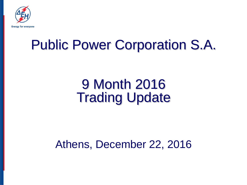

# Public Power Corporation S.A.

# 9 Month 2016 Trading Update

Athens, December 22, 2016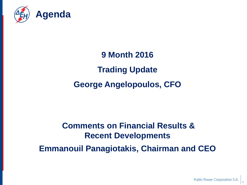

## **9 Month 2016 Trading Update George Angelopoulos, CFO**

### **Comments on Financial Results & Recent Developments Emmanouil Panagiotakis, Chairman and CEO**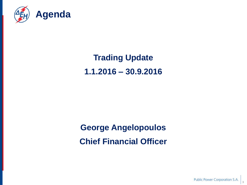

### **Trading Update 1.1.2016 – 30.9.2016**

### **George Angelopoulos Chief Financial Officer**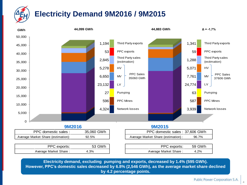### **Electricity Demand 9M2016 / 9M2015**



**Electricity demand, excluding pumping and exports, decreased by 1.4% (595 GWh). However, PPC's domestic sales decreased by 6.8% (2,546 GWh), as the average market share declined by 4.2 percentage points.**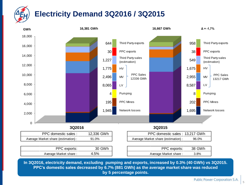## **Electricity Demand 3Q2016 / 3Q2015**



**In 3Q2016, electricity demand, excluding pumping and exports, increased by 0.3% (40 GWh) vs 3Q2015. PPC's domestic sales decreased by 6.7% (881 GWh) as the average market share was reduced by 5 percentage points.**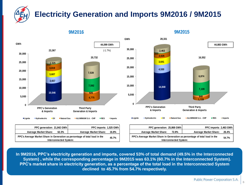#### **Electricity Generation and Imports 9M2016 / 9M2015**

**44,099 GWh** (-1.7%) **23,367 20,732 0 5,000 10,000 15,000 20,000 25,000 30,000 PPC's Generation & Imports Third Party Generation & Imports 10,546 3,657 3,607 3,819 4,775 826 213 1,525 7,592 7,539 GWh Lignite Hydroelectric Oil Natural Gas ALUMINIUM S.A. - CHP RES Imports**

**9M2016**

| PPC generation: 21,842 GWh                                                                            | PPC imports: 1,525 GWh                |  |  |  |
|-------------------------------------------------------------------------------------------------------|---------------------------------------|--|--|--|
| <b>Average Market Share:</b><br>62.3%                                                                 | <b>Average Market Share:</b><br>16.8% |  |  |  |
| PPC's Average Market Share in Generation as percentage of total load in the<br>Interconnected System: |                                       |  |  |  |



**9M2015**

| 21.842 GWh l     | PPC imports: 1.525 GWh                        |       | PPC generation: 25,868 GWh                                                                            | PPC imports: 2.463 GWh                |
|------------------|-----------------------------------------------|-------|-------------------------------------------------------------------------------------------------------|---------------------------------------|
| 62.3%            | <b>Average Market Share:</b>                  | 16.8% | 72.8%<br><b>Average Market Share:</b>                                                                 | <b>Average Market Share:</b><br>26.4% |
| onnected Svstem: | Generation as percentage of total load in the | 45.7% | PPC's Average Market Share in Generation as percentage of total load in the<br>Interconnected System: | 54.7%                                 |

**In 9M2016, PPC's electricity generation and imports, covered 53% of total demand (49.5% in the Interconnected System) , while the corresponding percentage in 9M2015 was 63.1% (60.7% in the Interconnected System). PPC's market share in electricity generation, as a percentage of the total load in the Interconnected System declined to 45.7% from 54.7% respectively.**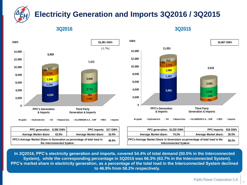#### **Electricity Generation and Imports 3Q2016 / 3Q2015**

**3Q2016 3Q2015**



| PPC generation: 8,392 GWh                                                                             | PPC imports: 517 GWh         |       | <b>PPC</b> generation:                         |
|-------------------------------------------------------------------------------------------------------|------------------------------|-------|------------------------------------------------|
| <b>Average Market share:</b><br>63.5%                                                                 | <b>Average Market share:</b> | 16.4% | <b>Average Market share:</b>                   |
| PPC's Average Market Share in Generation as percentage of total load in<br>the Interconnected System: |                              |       | <b>PPC's Average Market Share in</b><br>Interc |



| 8.392 GWh l                                                            | PPC imports: 517 GWh         |                                                                                                              | PPC generation: 10,232 GWh |       | PPC imports: 819 GWh  |       |
|------------------------------------------------------------------------|------------------------------|--------------------------------------------------------------------------------------------------------------|----------------------------|-------|-----------------------|-------|
| 63.5%                                                                  | <b>Average Market share:</b> | 16.4%                                                                                                        | Average Market share:      | 74.2% | Average Market share: | 28.5% |
| Generation as percentage of total load in<br>46.9%<br>onnected System: |                              | <b>PPC's Average Market Share in Generation as percentage of total load in the</b><br>Interconnected System: |                            | 58.2% |                       |       |

**In 3Q2016, PPC's electricity generation and imports, covered 54.4% of total demand (50.5% in the Interconnected System), while the corresponding percentage in 3Q2015 was 66.3% (63.7% in the Interconnected System). PPC's market share in electricity generation, as a percentage of the total load in the Interconnected System declined to 46.9% from 58.2% respectively.**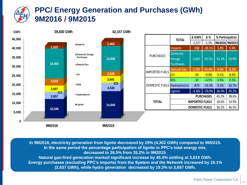#### **PPC/ Energy Generation and Purchases (GWh) 9M2016 / 9M2015**



**In 9M2016, electricity generation from lignite decreased by 29% (4,302 GWh) compared to 9M2015. In the same period the percentage participation of lignite in PPC's total energy mix, decreased to 26.5% from 35.2% in 9M2015. Natural gas-fired generation marked significant increase by 45.4% settling at 3,819 GWh. Energy purchases (excluding PPC's imports) from the System and the Network increased by 19.1% (2,637 GWh), while hydro generation decreased by 19.3% to 3,657 GWh.**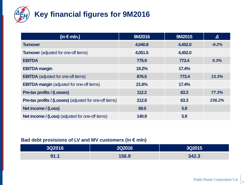

### **Key financial figures for 9M2016**

| (in € mln.)                                                    | 9M2016  | 9M2015  | Δ       |
|----------------------------------------------------------------|---------|---------|---------|
| <b>Turnover</b>                                                | 4,040.8 | 4,452.0 | $-9.2%$ |
| <b>Turnover</b> (adjusted for one-off items)                   | 4,051.5 | 4,452.0 |         |
| <b>EBITDA</b>                                                  | 775.9   | 773.4   | 0.3%    |
| <b>EBITDA</b> margin                                           | 19.2%   | 17.4%   |         |
| <b>EBITDA</b> (adjusted for one-off items)                     | 876.5   | 773.4   | 13.3%   |
| <b>EBITDA margin</b> (adjusted for one-off items)              | 21.6%   | 17.4%   |         |
| <b>Pre-tax profits / (Losses)</b>                              | 112.2   | 63.3    | 77.3%   |
| <b>Pre-tax profits / (Losses)</b> (adjusted for one-off items) | 212.8   | 63.3    | 236.2%  |
| Net income / (Loss)                                            | 69.5    | 5.9     |         |
| <b>Net income / (Loss)</b> (adjusted for one-off items)        | 140.9   | 5.9     |         |

#### **Bad debt provisions of LV and MV customers (in € mln)**

| 3Q2016            | <b>2Q2016</b> | 3Q2015' |
|-------------------|---------------|---------|
| Ω1<br>- 4<br>J1.1 | 156.9         | 342.3   |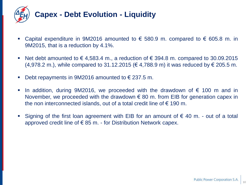

- Capital expenditure in 9M2016 amounted to  $\epsilon$  580.9 m. compared to  $\epsilon$  605.8 m. in 9M2015, that is a reduction by 4.1%.
- Net debt amounted to  $\epsilon$  4,583.4 m., a reduction of  $\epsilon$  394.8 m. compared to 30.09.2015 (4,978.2 m.), while compared to 31.12.2015 (€ 4,788.9 m) it was reduced by € 205.5 m.
- Debt repayments in 9M2016 amounted to  $\epsilon$  237.5 m.
- In addition, during 9M2016, we proceeded with the drawdown of  $\epsilon$  100 m and in November, we proceeded with the drawdown  $\epsilon$  80 m. from EIB for generation capex in the non interconnected islands, out of a total credit line of  $\epsilon$  190 m.
- Signing of the first loan agreement with EIB for an amount of  $\epsilon$  40 m. out of a total approved credit line of  $\epsilon$  85 m. - for Distribution Network capex.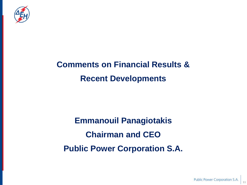

### **Comments on Financial Results & Recent Developments**

**Emmanouil Panagiotakis Chairman and CEO Public Power Corporation S.A.**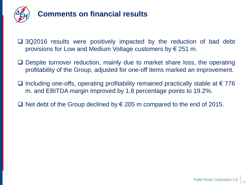

### **Comments on financial results**

- □ 3Q2016 results were positively impacted by the reduction of bad debt provisions for Low and Medium Voltage customers by € 251 m.
- $\Box$  Despite turnover reduction, mainly due to market share loss, the operating profitability of the Group, adjusted for one-off items marked an improvement.
- $\Box$  Including one-offs, operating profitability remained practically stable at €776 m. and EBITDA margin improved by 1.8 percentage points to 19.2%.
- Net debt of the Group declined by  $€$  205 m compared to the end of 2015.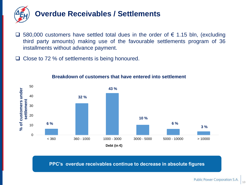

- □ 580,000 customers have settled total dues in the order of  $\epsilon$  1.15 bln, (excluding third party amounts) making use of the favourable settlements program of 36 installments without advance payment.
- $\Box$  Close to 72 % of settlements is being honoured.



#### **Breakdown of customers that have entered into settlement**

**PPC's overdue receivables continue to decrease in absolute figures**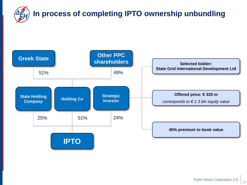

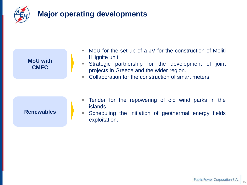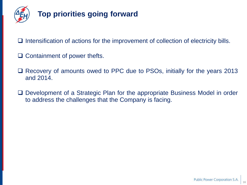

#### **Top priorities going forward**

- $\Box$  Intensification of actions for the improvement of collection of electricity bills.
- $\Box$  Containment of power thefts.
- □ Recovery of amounts owed to PPC due to PSOs, initially for the years 2013 and 2014.
- □ Development of a Strategic Plan for the appropriate Business Model in order to address the challenges that the Company is facing.